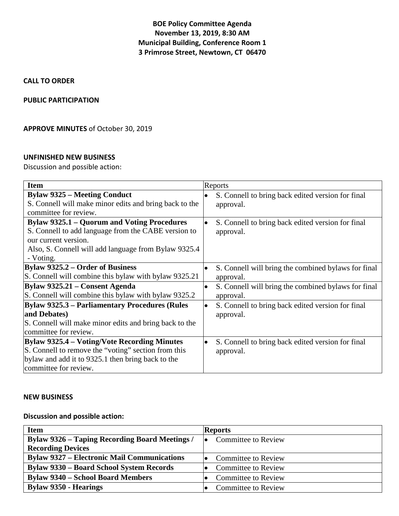# **BOE Policy Committee Agenda November 13, 2019, 8:30 AM Municipal Building, Conference Room 1 3 Primrose Street, Newtown, CT 06470**

# **CALL TO ORDER**

# **PUBLIC PARTICIPATION**

# **APPROVE MINUTES** of October 30, 2019

### **UNFINISHED NEW BUSINESS**

Discussion and possible action:

| <b>Item</b>                                                                                                                                                                                            | Reports                                                                       |
|--------------------------------------------------------------------------------------------------------------------------------------------------------------------------------------------------------|-------------------------------------------------------------------------------|
| <b>Bylaw 9325 – Meeting Conduct</b><br>S. Connell will make minor edits and bring back to the<br>committee for review.                                                                                 | S. Connell to bring back edited version for final<br>$\bullet$<br>approval.   |
| <b>Bylaw 9325.1 – Quorum and Voting Procedures</b><br>S. Connell to add language from the CABE version to<br>our current version.<br>Also, S. Connell will add language from Bylaw 9325.4<br>- Voting. | S. Connell to bring back edited version for final<br>$\bullet$<br>approval.   |
| <b>Bylaw 9325.2 – Order of Business</b><br>S. Connell will combine this bylaw with bylaw 9325.21                                                                                                       | S. Connell will bring the combined bylaws for final<br>$\bullet$<br>approval. |
| Bylaw 9325.21 – Consent Agenda<br>S. Connell will combine this bylaw with bylaw 9325.2                                                                                                                 | S. Connell will bring the combined bylaws for final<br>$\bullet$<br>approval. |
| <b>Bylaw 9325.3 – Parliamentary Procedures (Rules</b><br>and Debates)<br>S. Connell will make minor edits and bring back to the<br>committee for review.                                               | S. Connell to bring back edited version for final<br>$\bullet$<br>approval.   |
| Bylaw 9325.4 – Voting/Vote Recording Minutes<br>S. Connell to remove the "voting" section from this<br>bylaw and add it to 9325.1 then bring back to the<br>committee for review.                      | S. Connell to bring back edited version for final<br>$\bullet$<br>approval.   |

#### **NEW BUSINESS**

# **Discussion and possible action:**

| <b>Item</b>                                           | <b>Reports</b>             |
|-------------------------------------------------------|----------------------------|
| <b>Bylaw 9326 – Taping Recording Board Meetings /</b> | Committee to Review<br>I۰  |
| <b>Recording Devices</b>                              |                            |
| <b>Bylaw 9327 – Electronic Mail Communications</b>    | <b>Committee to Review</b> |
| <b>Bylaw 9330 – Board School System Records</b>       | <b>Committee to Review</b> |
| <b>Bylaw 9340 – School Board Members</b>              | <b>Committee to Review</b> |
| <b>Bylaw 9350 - Hearings</b>                          | <b>Committee to Review</b> |